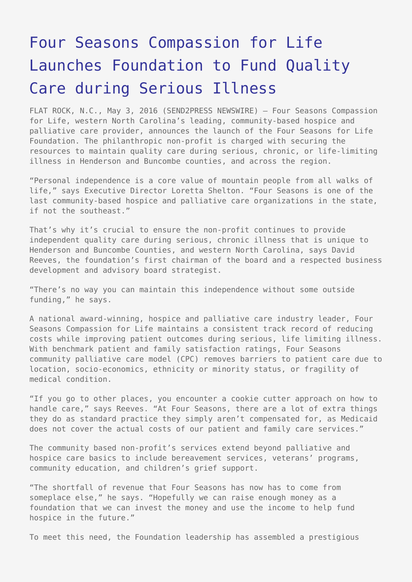# [Four Seasons Compassion for Life](https://www.send2press.com/wire/four-seasons-compassion-for-life-launches-foundation-to-fund-quality-care-during-serious-illness-2016-0503-05/) [Launches Foundation to Fund Quality](https://www.send2press.com/wire/four-seasons-compassion-for-life-launches-foundation-to-fund-quality-care-during-serious-illness-2016-0503-05/) [Care during Serious Illness](https://www.send2press.com/wire/four-seasons-compassion-for-life-launches-foundation-to-fund-quality-care-during-serious-illness-2016-0503-05/)

FLAT ROCK, N.C., May 3, 2016 (SEND2PRESS NEWSWIRE) — Four Seasons Compassion for Life, western North Carolina's leading, community-based hospice and palliative care provider, announces the launch of the Four Seasons for Life Foundation. The philanthropic non-profit is charged with securing the resources to maintain quality care during serious, chronic, or life-limiting illness in Henderson and Buncombe counties, and across the region.

"Personal independence is a core value of mountain people from all walks of life," says Executive Director Loretta Shelton. "Four Seasons is one of the last community-based hospice and palliative care organizations in the state, if not the southeast."

That's why it's crucial to ensure the non-profit continues to provide independent quality care during serious, chronic illness that is unique to Henderson and Buncombe Counties, and western North Carolina, says David Reeves, the foundation's first chairman of the board and a respected business development and advisory board strategist.

"There's no way you can maintain this independence without some outside funding," he says.

A national award-winning, hospice and palliative care industry leader, Four Seasons Compassion for Life maintains a consistent track record of reducing costs while improving patient outcomes during serious, life limiting illness. With benchmark patient and family satisfaction ratings, Four Seasons community palliative care model (CPC) removes barriers to patient care due to location, socio-economics, ethnicity or minority status, or fragility of medical condition.

"If you go to other places, you encounter a cookie cutter approach on how to handle care," says Reeves. "At Four Seasons, there are a lot of extra things they do as standard practice they simply aren't compensated for, as Medicaid does not cover the actual costs of our patient and family care services."

The community based non-profit's services extend beyond palliative and hospice care basics to include bereavement services, veterans' programs, community education, and children's grief support.

"The shortfall of revenue that Four Seasons has now has to come from someplace else," he says. "Hopefully we can raise enough money as a foundation that we can invest the money and use the income to help fund hospice in the future."

To meet this need, the Foundation leadership has assembled a prestigious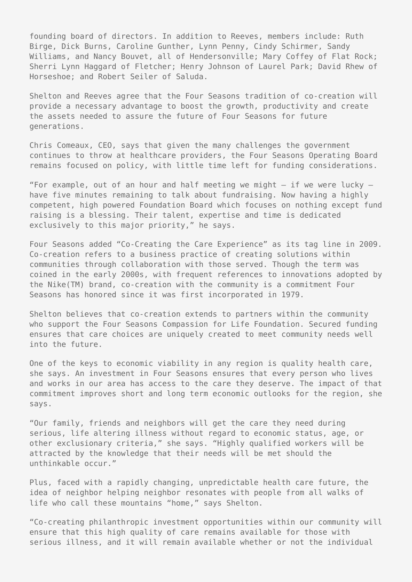founding board of directors. In addition to Reeves, members include: Ruth Birge, Dick Burns, Caroline Gunther, Lynn Penny, Cindy Schirmer, Sandy Williams, and Nancy Bouvet, all of Hendersonville; Mary Coffey of Flat Rock; Sherri Lynn Haggard of Fletcher; Henry Johnson of Laurel Park; David Rhew of Horseshoe; and Robert Seiler of Saluda.

Shelton and Reeves agree that the Four Seasons tradition of co-creation will provide a necessary advantage to boost the growth, productivity and create the assets needed to assure the future of Four Seasons for future generations.

Chris Comeaux, CEO, says that given the many challenges the government continues to throw at healthcare providers, the Four Seasons Operating Board remains focused on policy, with little time left for funding considerations.

"For example, out of an hour and half meeting we might  $-$  if we were lucky  $$ have five minutes remaining to talk about fundraising. Now having a highly competent, high powered Foundation Board which focuses on nothing except fund raising is a blessing. Their talent, expertise and time is dedicated exclusively to this major priority," he says.

Four Seasons added "Co-Creating the Care Experience" as its tag line in 2009. Co-creation refers to a business practice of creating solutions within communities through collaboration with those served. Though the term was coined in the early 2000s, with frequent references to innovations adopted by the Nike(TM) brand, co-creation with the community is a commitment Four Seasons has honored since it was first incorporated in 1979.

Shelton believes that co-creation extends to partners within the community who support the Four Seasons Compassion for Life Foundation. Secured funding ensures that care choices are uniquely created to meet community needs well into the future.

One of the keys to economic viability in any region is quality health care, she says. An investment in Four Seasons ensures that every person who lives and works in our area has access to the care they deserve. The impact of that commitment improves short and long term economic outlooks for the region, she says.

"Our family, friends and neighbors will get the care they need during serious, life altering illness without regard to economic status, age, or other exclusionary criteria," she says. "Highly qualified workers will be attracted by the knowledge that their needs will be met should the unthinkable occur."

Plus, faced with a rapidly changing, unpredictable health care future, the idea of neighbor helping neighbor resonates with people from all walks of life who call these mountains "home," says Shelton.

"Co-creating philanthropic investment opportunities within our community will ensure that this high quality of care remains available for those with serious illness, and it will remain available whether or not the individual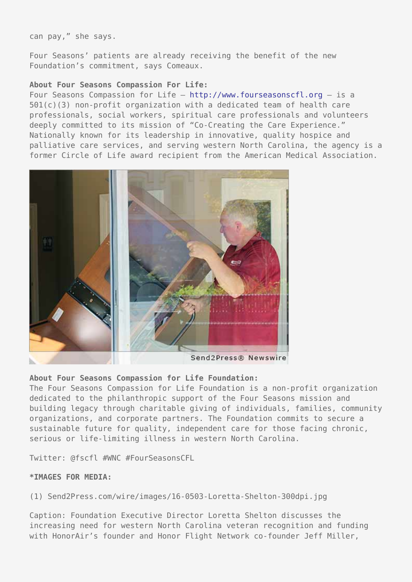can pay," she says.

Four Seasons' patients are already receiving the benefit of the new Foundation's commitment, says Comeaux.

#### **About Four Seasons Compassion For Life:**

Four Seasons Compassion for Life –<http://www.fourseasonscfl.org> – is a 501(c)(3) non-profit organization with a dedicated team of health care professionals, social workers, spiritual care professionals and volunteers deeply committed to its mission of "Co-Creating the Care Experience." Nationally known for its leadership in innovative, quality hospice and palliative care services, and serving western North Carolina, the agency is a former Circle of Life award recipient from the American Medical Association.



## **About Four Seasons Compassion for Life Foundation:**

The Four Seasons Compassion for Life Foundation is a non-profit organization dedicated to the philanthropic support of the Four Seasons mission and building legacy through charitable giving of individuals, families, community organizations, and corporate partners. The Foundation commits to secure a sustainable future for quality, independent care for those facing chronic, serious or life-limiting illness in western North Carolina.

Twitter: @fscfl #WNC #FourSeasonsCFL

## **\*IMAGES FOR MEDIA:**

(1) Send2Press.com/wire/images/16-0503-Loretta-Shelton-300dpi.jpg

Caption: Foundation Executive Director Loretta Shelton discusses the increasing need for western North Carolina veteran recognition and funding with HonorAir's founder and Honor Flight Network co-founder Jeff Miller,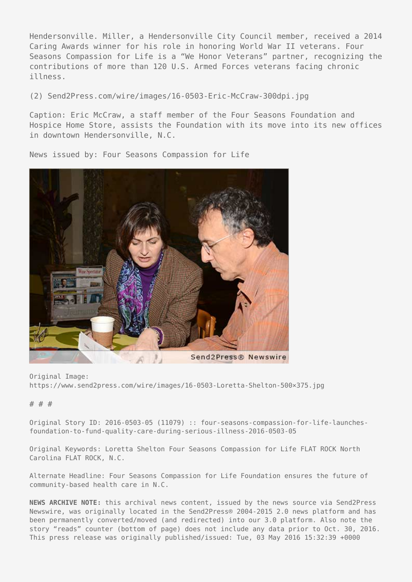Hendersonville. Miller, a Hendersonville City Council member, received a 2014 Caring Awards winner for his role in honoring World War II veterans. Four Seasons Compassion for Life is a "We Honor Veterans" partner, recognizing the contributions of more than 120 U.S. Armed Forces veterans facing chronic illness.

(2) Send2Press.com/wire/images/16-0503-Eric-McCraw-300dpi.jpg

Caption: Eric McCraw, a staff member of the Four Seasons Foundation and Hospice Home Store, assists the Foundation with its move into its new offices in downtown Hendersonville, N.C.

News issued by: Four Seasons Compassion for Life



Original Image: https://www.send2press.com/wire/images/16-0503-Loretta-Shelton-500×375.jpg

#### # # #

Original Story ID: 2016-0503-05 (11079) :: four-seasons-compassion-for-life-launchesfoundation-to-fund-quality-care-during-serious-illness-2016-0503-05

Original Keywords: Loretta Shelton Four Seasons Compassion for Life FLAT ROCK North Carolina FLAT ROCK, N.C.

Alternate Headline: Four Seasons Compassion for Life Foundation ensures the future of community-based health care in N.C.

**NEWS ARCHIVE NOTE:** this archival news content, issued by the news source via Send2Press Newswire, was originally located in the Send2Press® 2004-2015 2.0 news platform and has been permanently converted/moved (and redirected) into our 3.0 platform. Also note the story "reads" counter (bottom of page) does not include any data prior to Oct. 30, 2016. This press release was originally published/issued: Tue, 03 May 2016 15:32:39 +0000